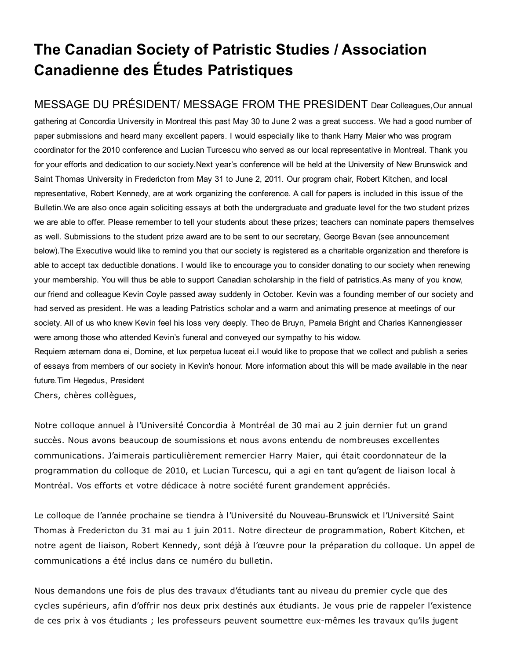# The Canadian Society of Patristic Studies / Association Canadienne des Études Patristiques

MESSAGE DU PRÉSIDENT/ MESSAGE FROM THE PRESIDENT Dear Colleagues,Our annual gathering at Concordia University in Montreal this past May 30 to June 2 was a great success. We had a good number of paper submissions and heard many excellent papers. I would especially like to thank Harry Maier who was program coordinator for the 2010 conference and Lucian Turcescu who served as our local representative in Montreal. Thank you for your efforts and dedication to our society.Next year's conference will be held at the University of New Brunswick and Saint Thomas University in Fredericton from May 31 to June 2, 2011. Our program chair, Robert Kitchen, and local representative, Robert Kennedy, are at work organizing the conference. A call for papers is included in this issue of the Bulletin.We are also once again soliciting essays at both the undergraduate and graduate level for the two student prizes we are able to offer. Please remember to tell your students about these prizes; teachers can nominate papers themselves as well. Submissions to the student prize award are to be sent to our secretary, George Bevan (see announcement below).The Executive would like to remind you that our society is registered as a charitable organization and therefore is able to accept tax deductible donations. I would like to encourage you to consider donating to our society when renewing your membership. You will thus be able to support Canadian scholarship in the field of patristics.As many of you know, our friend and colleague Kevin Coyle passed away suddenly in October. Kevin was a founding member of our society and had served as president. He was a leading Patristics scholar and a warm and animating presence at meetings of our society. All of us who knew Kevin feel his loss very deeply. Theo de Bruyn, Pamela Bright and Charles Kannengiesser were among those who attended Kevin's funeral and conveyed our sympathy to his widow.

Requiem æternam dona ei, Domine, et lux perpetua luceat ei.I would like to propose that we collect and publish a series of essays from members of our society in Kevin's honour. More information about this will be made available in the near future.Tim Hegedus, President

Chers, chères collègues,

Notre colloque annuel à l'Université Concordia à Montréal de 30 mai au 2 juin dernier fut un grand succès. Nous avons beaucoup de soumissions et nous avons entendu de nombreuses excellentes communications. J'aimerais particulièrement remercier Harry Maier, qui était coordonnateur de la programmation du colloque de 2010, et Lucian Turcescu, qui a agi en tant qu'agent de liaison local à Montréal. Vos efforts et votre dédicace à notre société furent grandement appréciés.

Le colloque de l'année prochaine se tiendra à l'Université du Nouveau-Brunswick et l'Université Saint Thomas à Fredericton du 31 mai au 1 juin 2011. Notre directeur de programmation, Robert Kitchen, et notre agent de liaison, Robert Kennedy, sont déjà à l'œuvre pour la préparation du colloque. Un appel de communications a été inclus dans ce numéro du bulletin.

Nous demandons une fois de plus des travaux d'étudiants tant au niveau du premier cycle que des cycles supérieurs, afin d'offrir nos deux prix destinés aux étudiants. Je vous prie de rappeler l'existence de ces prix à vos étudiants ; les professeurs peuvent soumettre eux-mêmes les travaux qu'ils jugent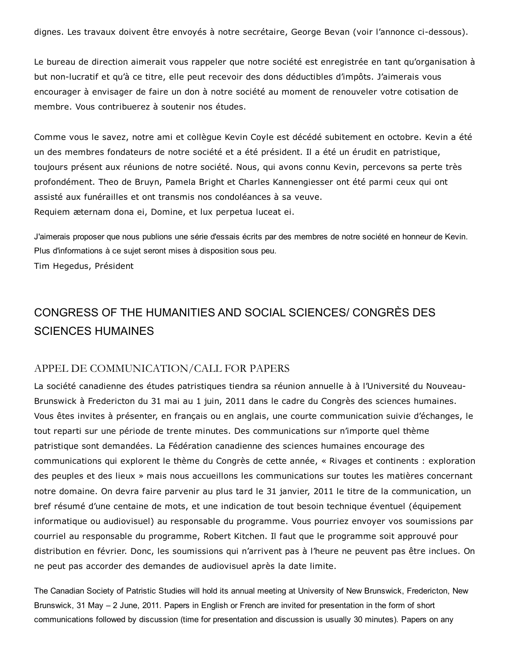dignes. Les travaux doivent être envoyés à notre secrétaire, George Bevan (voir l'annonce ci-dessous).

Le bureau de direction aimerait vous rappeler que notre société est enregistrée en tant qu'organisation à but non-lucratif et qu'à ce titre, elle peut recevoir des dons déductibles d'impôts. J'aimerais vous encourager à envisager de faire un don à notre société au moment de renouveler votre cotisation de membre. Vous contribuerez à soutenir nos études.

Comme vous le savez, notre ami et collègue Kevin Coyle est décédé subitement en octobre. Kevin a été un des membres fondateurs de notre société et a été président. Il a été un érudit en patristique, toujours présent aux réunions de notre société. Nous, qui avons connu Kevin, percevons sa perte très profondément. Theo de Bruyn, Pamela Bright et Charles Kannengiesser ont été parmi ceux qui ont assisté aux funérailles et ont transmis nos condoléances à sa veuve. Requiem æternam dona ei, Domine, et lux perpetua luceat ei.

J'aimerais proposer que nous publions une série d'essais écrits par des membres de notre société en honneur de Kevin. Plus d'informations à ce sujet seront mises à disposition sous peu.

Tim Hegedus, Président

# CONGRESS OF THE HUMANITIES AND SOCIAL SCIENCES/ CONGRÈS DES SCIENCES HUMAINES

#### APPEL DE COMMUNICATION/CALL FOR PAPERS

La société canadienne des études patristiques tiendra sa réunion annuelle à à l'Université du Nouveau-Brunswick à Fredericton du 31 mai au 1 juin, 2011 dans le cadre du Congrès des sciences humaines. Vous êtes invites à présenter, en français ou en anglais, une courte communication suivie d'échanges, le tout reparti sur une période de trente minutes. Des communications sur n'importe quel thème patristique sont demandées. La Fédération canadienne des sciences humaines encourage des communications qui explorent le thème du Congrès de cette année, « Rivages et continents : exploration des peuples et des lieux » mais nous accueillons les communications sur toutes les matières concernant notre domaine. On devra faire parvenir au plus tard le 31 janvier, 2011 le titre de la communication, un bref résumé d'une centaine de mots, et une indication de tout besoin technique éventuel (équipement informatique ou audiovisuel) au responsable du programme. Vous pourriez envoyer vos soumissions par courriel au responsable du programme, Robert Kitchen. Il faut que le programme soit approuvé pour distribution en février. Donc, les soumissions qui n'arrivent pas à l'heure ne peuvent pas être inclues. On ne peut pas accorder des demandes de audiovisuel après la date limite.

The Canadian Society of Patristic Studies will hold its annual meeting at University of New Brunswick, Fredericton, New Brunswick, 31 May – 2 June, 2011. Papers in English or French are invited for presentation in the form of short communications followed by discussion (time for presentation and discussion is usually 30 minutes). Papers on any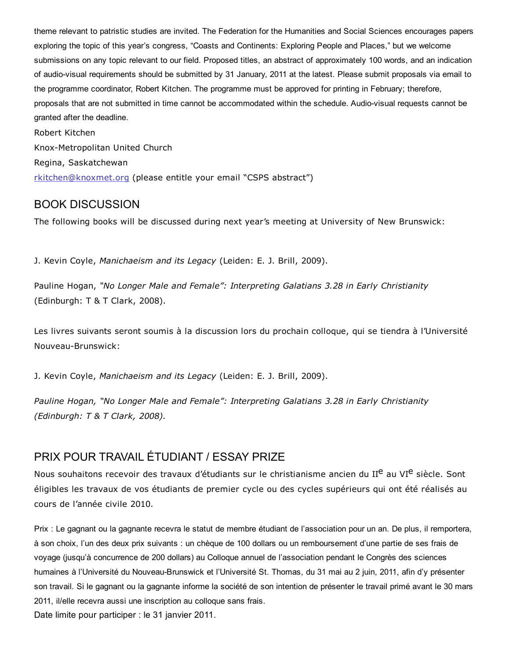theme relevant to patristic studies are invited. The Federation for the Humanities and Social Sciences encourages papers exploring the topic of this year's congress, "Coasts and Continents: Exploring People and Places," but we welcome submissions on any topic relevant to our field. Proposed titles, an abstract of approximately 100 words, and an indication of audio-visual requirements should be submitted by 31 January, 2011 at the latest. Please submit proposals via email to the programme coordinator, Robert Kitchen. The programme must be approved for printing in February; therefore, proposals that are not submitted in time cannot be accommodated within the schedule. Audio-visual requests cannot be granted after the deadline. Robert Kitchen Knox-Metropolitan United Church Regina, Saskatchewan

[rkitchen@knoxmet.org](mailto:rkitchen@knoxmet.org) (please entitle your email "CSPS abstract")

#### BOOK DISCUSSION

The following books will be discussed during next year's meeting at University of New Brunswick:

J. Kevin Coyle, *Manichaeism and its Legacy* (Leiden: E. J. Brill, 2009).

Pauline Hogan, *"No Longer Male and Female": Interpreting Galatians 3.28 in Early Christianity* (Edinburgh: T & T Clark, 2008).

Les livres suivants seront soumis à la discussion lors du prochain colloque, qui se tiendra à l'Université Nouveau-Brunswick:

J. Kevin Coyle, *Manichaeism and its Legacy* (Leiden: E. J. Brill, 2009).

*Pauline Hogan, "No Longer Male and Female": Interpreting Galatians 3.28 in Early Christianity (Edinburgh: T & T Clark, 2008).*

## PRIX POUR TRAVAIL ÉTUDIANT / ESSAY PRIZE

Nous souhaitons recevoir des travaux d'étudiants sur le christianisme ancien du II<sup>e</sup> au VI<sup>e</sup> siècle. Sont éligibles les travaux de vos étudiants de premier cycle ou des cycles supérieurs qui ont été réalisés au cours de l'année civile 2010.

Prix : Le gagnant ou la gagnante recevra le statut de membre étudiant de l'association pour un an. De plus, il remportera, à son choix, l'un des deux prix suivants : un chèque de 100 dollars ou un remboursement d'une partie de ses frais de voyage (jusqu'à concurrence de 200 dollars) au Colloque annuel de l'association pendant le Congrès des sciences humaines à l'Université du Nouveau-Brunswick et l'Université St. Thomas, du 31 mai au 2 juin, 2011, afin d'y présenter son travail. Si le gagnant ou la gagnante informe la société de son intention de présenter le travail primé avant le 30 mars 2011, il/elle recevra aussi une inscription au colloque sans frais. Date limite pour participer : le 31 janvier 2011.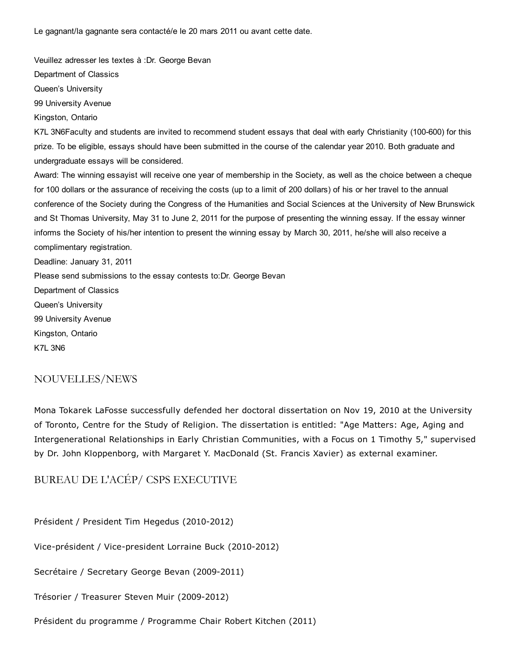Le gagnant/la gagnante sera contacté/e le 20 mars 2011 ou avant cette date.

Veuillez adresser les textes à :Dr. George Bevan Department of Classics Queen's University 99 University Avenue Kingston, Ontario K7L 3N6Faculty and students are invited to recommend student essays that deal with early Christianity (100-600) for this prize. To be eligible, essays should have been submitted in the course of the calendar year 2010. Both graduate and undergraduate essays will be considered. Award: The winning essayist will receive one year of membership in the Society, as well as the choice between a cheque for 100 dollars or the assurance of receiving the costs (up to a limit of 200 dollars) of his or her travel to the annual conference of the Society during the Congress of the Humanities and Social Sciences at the University of New Brunswick and St Thomas University, May 31 to June 2, 2011 for the purpose of presenting the winning essay. If the essay winner informs the Society of his/her intention to present the winning essay by March 30, 2011, he/she will also receive a complimentary registration. Deadline: January 31, 2011 Please send submissions to the essay contests to:Dr. George Bevan Department of Classics Queen's University 99 University Avenue Kingston, Ontario K7L 3N6

#### NOUVELLES/NEWS

Mona Tokarek LaFosse successfully defended her doctoral dissertation on Nov 19, 2010 at the University of Toronto, Centre for the Study of Religion. The dissertation is entitled: "Age Matters: Age, Aging and Intergenerational Relationships in Early Christian Communities, with a Focus on 1 Timothy 5," supervised by Dr. John Kloppenborg, with Margaret Y. MacDonald (St. Francis Xavier) as external examiner.

BUREAU DE L'ACÉP/ CSPS EXECUTIVE

Président / President Tim Hegedus (2010-2012)

Vice-président / Vice-president Lorraine Buck (2010-2012)

Secrétaire / Secretary George Bevan (2009-2011)

Trésorier / Treasurer Steven Muir (2009-2012)

Président du programme / Programme Chair Robert Kitchen (2011)